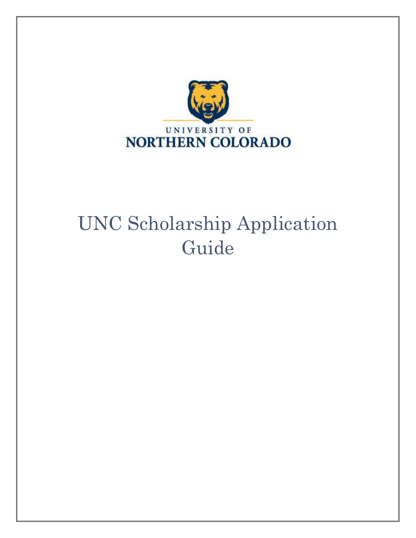

# UNC Scholarship Application Guide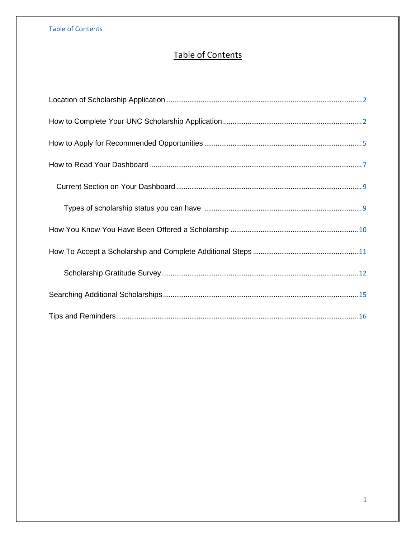<span id="page-1-0"></span>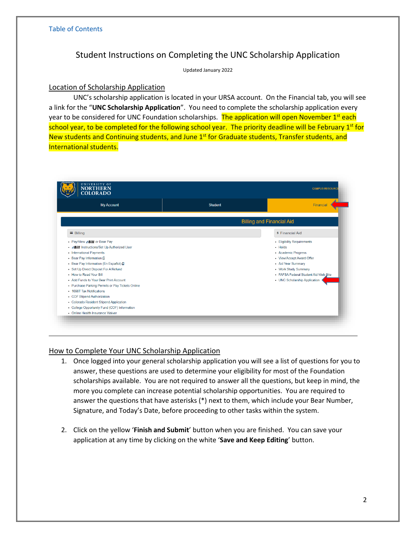## Student Instructions on Completing the UNC Scholarship Application

Updated January 2022

## <span id="page-2-0"></span>Location of Scholarship Application

UNC's scholarship application is located in your URSA account. On the Financial tab, you will see a link for the "**UNC Scholarship Application**". You need to complete the scholarship application every year to be considered for UNC Foundation scholarships. The application will open November 1<sup>st</sup> each school year, to be completed for the following school year. The priority deadline will be February 1<sup>st</sup> for New students and Continuing students, and June 1<sup>st</sup> for Graduate students, Transfer students, and International students.

| <b>My Account</b>                                                                                                                                                                                                                                                                                                                                                                                                                                                                                                                               | <b>Student</b> | Financial                                                                                                                                                                                                        |
|-------------------------------------------------------------------------------------------------------------------------------------------------------------------------------------------------------------------------------------------------------------------------------------------------------------------------------------------------------------------------------------------------------------------------------------------------------------------------------------------------------------------------------------------------|----------------|------------------------------------------------------------------------------------------------------------------------------------------------------------------------------------------------------------------|
|                                                                                                                                                                                                                                                                                                                                                                                                                                                                                                                                                 |                | <b>Billing and Financial Aid</b>                                                                                                                                                                                 |
| $\equiv$ Billing                                                                                                                                                                                                                                                                                                                                                                                                                                                                                                                                |                | <b>\$ Financial Aid</b>                                                                                                                                                                                          |
| • Pay/View eBill or Bear Pay<br>• <b>eBill</b> Instructions/Set Up Authorized User<br>• International Payments<br>• Bear Pay Information C<br>• Bear Pay Information (En Español) &<br>• Set Up Direct Deposit For A Refund<br>. How to Read Your Bill<br>• Add Funds to Your Bear Print Account<br>• Purchase Parking Permits or Pay Tickets Online<br>• 1098T Tax Notifications<br>• COF Stipend Authorization<br>• Colorado Resident Stipend Application<br>• College Opportunity Fund (COF) Information<br>• Online Health Insurance Waiver |                | • Eligibility Requirements<br>• Holds<br>• Academic Progress<br>• View/Accept Award Offer<br>• Aid Year Summary<br>• Work Study Summary<br>• FAFSA Federal Student Aid Web Site<br>• UNC Scholarship Application |

## <span id="page-2-1"></span>How to Complete Your UNC Scholarship Application

- 1. Once logged into your general scholarship application you will see a list of questions for you to answer, these questions are used to determine your eligibility for most of the Foundation scholarships available. You are not required to answer all the questions, but keep in mind, the more you complete can increase potential scholarship opportunities. You are required to answer the questions that have asterisks (\*) next to them, which include your Bear Number, Signature, and Today's Date, before proceeding to other tasks within the system.
- 2. Click on the yellow '**Finish and Submit**' button when you are finished. You can save your application at any time by clicking on the white '**Save and Keep Editing**' button.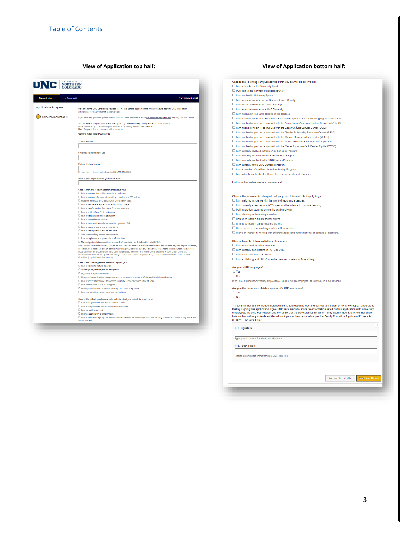| <b>UNC</b> NORTHERN                       |                                                                                                                                                                                                                                                                    |
|-------------------------------------------|--------------------------------------------------------------------------------------------------------------------------------------------------------------------------------------------------------------------------------------------------------------------|
| · Opportunities<br><b>My Applications</b> | * Johnny Appleseed                                                                                                                                                                                                                                                 |
| <b>Application Progress</b>               |                                                                                                                                                                                                                                                                    |
|                                           | Welcome to the UNC Scholarship Application! This is a general application that will allow you to apply for UNC Foundation<br>scholarships for the 2022-2023 academic year.                                                                                         |
| General Application @                     | If you have any questions, please contact the UNC Office of Financial Aid at ofa.scholarships@unco.edu or (970) 351-4882 option 1.                                                                                                                                 |
|                                           |                                                                                                                                                                                                                                                                    |
|                                           | You can save your application at any time by clicking Save and Keep Editing at the bottom of the form.<br>Once completed, you can submit your application by clicking Finish and Continue.                                                                         |
|                                           | Note: Required fields are marked with an asterisk.                                                                                                                                                                                                                 |
|                                           | <b>General Application Questions</b>                                                                                                                                                                                                                               |
|                                           | * Bear Number                                                                                                                                                                                                                                                      |
|                                           |                                                                                                                                                                                                                                                                    |
|                                           | Preferred name/name in use                                                                                                                                                                                                                                         |
|                                           |                                                                                                                                                                                                                                                                    |
|                                           |                                                                                                                                                                                                                                                                    |
|                                           | Preferred phone number                                                                                                                                                                                                                                             |
|                                           | Please enter a phone number formatted like 555-555-5555.                                                                                                                                                                                                           |
|                                           |                                                                                                                                                                                                                                                                    |
|                                           | What is your expected UNC graduation date?                                                                                                                                                                                                                         |
|                                           |                                                                                                                                                                                                                                                                    |
|                                           | Choose from the following statements about you:                                                                                                                                                                                                                    |
|                                           | I am a graduate from a high school in a rural area.                                                                                                                                                                                                                |
|                                           | □ I am a graduate of a high school with an enrollment of 200 or less.<br>$\Box$ I was the valedictorian or salutatorian of my senior class.                                                                                                                        |
|                                           | □ I am a new transfer student from a community college.                                                                                                                                                                                                            |
|                                           | □ I am a transfer student from Aims Community College.                                                                                                                                                                                                             |
|                                           | I am a resident from Eastern Colorado.                                                                                                                                                                                                                             |
|                                           | I am a first-generation college student.<br>I am a non-traditional student.                                                                                                                                                                                        |
|                                           | □ I am a member of an under-represented group at UNC.                                                                                                                                                                                                              |
|                                           | □ I am a parent of one or more dependents.                                                                                                                                                                                                                         |
|                                           | □ I am a single parent of at least one child.                                                                                                                                                                                                                      |
|                                           | One or more of my parents are deceased.<br>I am an orphan or was previously in a foster home.                                                                                                                                                                      |
|                                           | My immigration status classifies me under Deferred Action for Childhood Arrivals (DACA).                                                                                                                                                                           |
|                                           | First Generation student definition: Biological or Adopted parents and immediate family have not attended any kind of post-secondary                                                                                                                               |
|                                           | education. Non-traditional student definition: Entering UNC after the age of 24 and/or has dependent children. Under-represented<br>group definition are Students with historically marginalized identities. This may include: Students of color, LGBTQI identity, |
|                                           | undocumented student, first-generation college student, nontraditional age (over 24), student with dependents, students with<br>disabilities (physical/mental/emotional).                                                                                          |
|                                           | Choose the following statements that apply to you:                                                                                                                                                                                                                 |
|                                           | I am a victim of a natural disaster                                                                                                                                                                                                                                |
|                                           | Farming is my family's primary occupation.                                                                                                                                                                                                                         |
|                                           | My parent is a graduate of UNC.<br>□ I have an interest in doing research or am currently working at the UNC Cancer Rehabilitation Institute.                                                                                                                      |
|                                           | I am registered for services through the Disability Support Services Office at UNC.                                                                                                                                                                                |
|                                           | I am admitted into the GOAL Program.                                                                                                                                                                                                                               |
|                                           | I have participated in a Centennial Rotary Club fundraising event.                                                                                                                                                                                                 |
|                                           | I am interested in entering the oil and gas industry.                                                                                                                                                                                                              |
|                                           | Choose the following extraourricular activities that you are/will be involved in:                                                                                                                                                                                  |
|                                           | □ I am actively involved in campus activities at UNC.                                                                                                                                                                                                              |
|                                           | □ I am actively involved in community service activities.<br>I am currently employed.                                                                                                                                                                              |
|                                           | □ I have a past history of employment.                                                                                                                                                                                                                             |
|                                           | [1] I am a member of a group that exhibits conservative values, knowledge and understanding of American history, strong moral and                                                                                                                                  |
|                                           | ethical behavior                                                                                                                                                                                                                                                   |

#### **View of Application top half: View of Application bottom half:**

| Choose the following campus activities that you are/will be involved in:                                                                                                                                                                                                                                                                                                                                                                                                                                                                 |
|------------------------------------------------------------------------------------------------------------------------------------------------------------------------------------------------------------------------------------------------------------------------------------------------------------------------------------------------------------------------------------------------------------------------------------------------------------------------------------------------------------------------------------------|
| I am a member of the University Band.                                                                                                                                                                                                                                                                                                                                                                                                                                                                                                    |
| I will participate in intramural sports at UNC.                                                                                                                                                                                                                                                                                                                                                                                                                                                                                          |
| I am involved in University Sports.                                                                                                                                                                                                                                                                                                                                                                                                                                                                                                      |
| □ I am an active member of the Criminal Justice Society.                                                                                                                                                                                                                                                                                                                                                                                                                                                                                 |
| □ I am an active member of a UNC Sorority.                                                                                                                                                                                                                                                                                                                                                                                                                                                                                               |
| I am an active member of a UNC Fraternity.                                                                                                                                                                                                                                                                                                                                                                                                                                                                                               |
| I am involved in The Little Theatre of the Rockies.                                                                                                                                                                                                                                                                                                                                                                                                                                                                                      |
| I am a current member of Beta Alpha Psi or another professional accounting organization at UNC.                                                                                                                                                                                                                                                                                                                                                                                                                                          |
| □ I am involved or plan to be involved with the Asian Pacific American Student Services (A/PASS).                                                                                                                                                                                                                                                                                                                                                                                                                                        |
| □ I am involved or plan to be involved with the César Chávez Cultural Center (CCCC).                                                                                                                                                                                                                                                                                                                                                                                                                                                     |
| □ I am involved or plan to be involved with the Gender & Sexuality Resource Center (GRSC).                                                                                                                                                                                                                                                                                                                                                                                                                                               |
| □ I am involved or plan to be involved with the Marcus Garvey Cultural Center (MGCC).                                                                                                                                                                                                                                                                                                                                                                                                                                                    |
| □ I am involved or plan to be involved with the Native American Student Services (NASS).                                                                                                                                                                                                                                                                                                                                                                                                                                                 |
| □ I am involved or plan to be involved with the Center for Women's & Gender Equity (CWGE).                                                                                                                                                                                                                                                                                                                                                                                                                                               |
| □ I am currently involved in the McNair Scholars Program.                                                                                                                                                                                                                                                                                                                                                                                                                                                                                |
| □ I am currently involved in the LEAP Scholars Program.                                                                                                                                                                                                                                                                                                                                                                                                                                                                                  |
| □ I am currently involved in the UNC Honors Program.                                                                                                                                                                                                                                                                                                                                                                                                                                                                                     |
| I am currently in the UNC Cumbres program.                                                                                                                                                                                                                                                                                                                                                                                                                                                                                               |
| I I am a member of the President's Leadership Program.                                                                                                                                                                                                                                                                                                                                                                                                                                                                                   |
| □ I am actively involved in the Center for Human Enrichment Program.                                                                                                                                                                                                                                                                                                                                                                                                                                                                     |
|                                                                                                                                                                                                                                                                                                                                                                                                                                                                                                                                          |
| List any other extracurricular involvement:                                                                                                                                                                                                                                                                                                                                                                                                                                                                                              |
|                                                                                                                                                                                                                                                                                                                                                                                                                                                                                                                                          |
| Choose the following teaching related program statements that apply to you:                                                                                                                                                                                                                                                                                                                                                                                                                                                              |
| □ I am majoring in science with the intent of becoming a teacher.                                                                                                                                                                                                                                                                                                                                                                                                                                                                        |
| □ I am currently a teacher in a K-12 classroom that intends to continue teaching.                                                                                                                                                                                                                                                                                                                                                                                                                                                        |
| $\Box$ I will be student teaching during the academic year.                                                                                                                                                                                                                                                                                                                                                                                                                                                                              |
| I am planning on becoming a teacher.                                                                                                                                                                                                                                                                                                                                                                                                                                                                                                     |
| $\Box$ I intend to teach in a rural school district.                                                                                                                                                                                                                                                                                                                                                                                                                                                                                     |
| □ I intend to teach in a public school district.                                                                                                                                                                                                                                                                                                                                                                                                                                                                                         |
| □ I have an interest in teaching children with disabilities.                                                                                                                                                                                                                                                                                                                                                                                                                                                                             |
| I have an interest in working with children/adolescents with emotional or behavioral disorders.                                                                                                                                                                                                                                                                                                                                                                                                                                          |
|                                                                                                                                                                                                                                                                                                                                                                                                                                                                                                                                          |
| Choose from the following Military statements:                                                                                                                                                                                                                                                                                                                                                                                                                                                                                           |
| I am an active-duty military member.                                                                                                                                                                                                                                                                                                                                                                                                                                                                                                     |
| □ I am currently participating in ROTC at UNC.                                                                                                                                                                                                                                                                                                                                                                                                                                                                                           |
| I am a veteran of the US military.                                                                                                                                                                                                                                                                                                                                                                                                                                                                                                       |
| $\Box$ I am a child or grandchild of an active member or veteran of the military.                                                                                                                                                                                                                                                                                                                                                                                                                                                        |
| Are you a UNC employee?                                                                                                                                                                                                                                                                                                                                                                                                                                                                                                                  |
| $\bigcirc$ Yes                                                                                                                                                                                                                                                                                                                                                                                                                                                                                                                           |
| $\bigcirc$ No                                                                                                                                                                                                                                                                                                                                                                                                                                                                                                                            |
| If you are a student work study employee or student hourly employee, answer NO to this questions.                                                                                                                                                                                                                                                                                                                                                                                                                                        |
| Are you the dependent child or spouse of a UNC employee?                                                                                                                                                                                                                                                                                                                                                                                                                                                                                 |
| O Yes                                                                                                                                                                                                                                                                                                                                                                                                                                                                                                                                    |
| $\bigcirc$ No                                                                                                                                                                                                                                                                                                                                                                                                                                                                                                                            |
| * I confirm that all information included in this application is true and correct to the best of my knowledge. I understand<br>that by signing this application, I give UNC permission to share the information listed on this application with university<br>employees, the UNC Foundation, and the donors of the scholarships for which I may qualify. NOTE: UNC will not share<br>information with any outside entities without your written permission, per the Family Education Rights and Privacy Act<br>(FERPA). - Answer 1 time. |
| 1                                                                                                                                                                                                                                                                                                                                                                                                                                                                                                                                        |
| $\pm$ 1. Signature                                                                                                                                                                                                                                                                                                                                                                                                                                                                                                                       |
|                                                                                                                                                                                                                                                                                                                                                                                                                                                                                                                                          |
| Type your full name for electronic signature                                                                                                                                                                                                                                                                                                                                                                                                                                                                                             |
|                                                                                                                                                                                                                                                                                                                                                                                                                                                                                                                                          |
| * 2. Today's Date                                                                                                                                                                                                                                                                                                                                                                                                                                                                                                                        |
| Please enter a date formatted like MM/DD/YYYY.                                                                                                                                                                                                                                                                                                                                                                                                                                                                                           |

Save and Keep Editing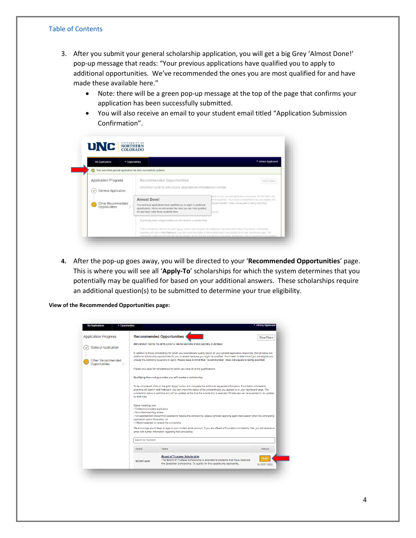- 3. After you submit your general scholarship application, you will get a big Grey 'Almost Done!' pop-up message that reads: "Your previous applications have qualified you to apply to additional opportunities. We've recommended the ones you are most qualified for and have made these available here."
	- Note: there will be a green pop-up message at the top of the page that confirms your application has been successfully submitted.
	- You will also receive an email to your student email titled "Application Submission Confirmation".

| <b>My Applications</b>                             | • Opportunities |                                                                                                                                                                                                           | * Johnny Appleseed                                                                                                                                                                                  |
|----------------------------------------------------|-----------------|-----------------------------------------------------------------------------------------------------------------------------------------------------------------------------------------------------------|-----------------------------------------------------------------------------------------------------------------------------------------------------------------------------------------------------|
|                                                    |                 | Your submitted general application has been successfully updated.                                                                                                                                         |                                                                                                                                                                                                     |
| <b>Application Progress</b><br>General Application |                 | Recommended Opportunities<br>IMPORTANT NOTE TO APPLICANTS. READ BEFORE PROCEEDING FURTHER.                                                                                                                | Show Filters                                                                                                                                                                                        |
| Other Recommended<br>Opportunities                 | $\circ$         | <b>Almost Done!</b><br>Your previous applications have qualified you to apply to additional<br>opportunities. We've recommended the ones you are most qualified<br>for and have made those available here | ased on your general application responses, the list below are<br>tht be qualified. You'll need to determine if you are eligible and<br>recommended" does not equate to being qualified.<br>cations |
|                                                    |                 | Qualifying does not guarantee you will receive a scholarship.                                                                                                                                             |                                                                                                                                                                                                     |

**4.** After the pop-up goes away, you will be directed to your '**Recommended Opportunities**' page. This is where you will see all '**Apply-To**' scholarships for which the system determines that you potentially may be qualified for based on your additional answers. These scholarships require an additional question(s) to be submitted to determine your true eligibility.

**View of the Recommended Opportunities page:**

| <b>My Applications</b><br>• Opportunities |                                                                                                                                                                           |                                                                                                                                                                                                                                                                                                                                                                                                          | * Johnny Appleseed     |
|-------------------------------------------|---------------------------------------------------------------------------------------------------------------------------------------------------------------------------|----------------------------------------------------------------------------------------------------------------------------------------------------------------------------------------------------------------------------------------------------------------------------------------------------------------------------------------------------------------------------------------------------------|------------------------|
| <b>Application Progress</b>               |                                                                                                                                                                           | <b>Recommended Opportunities</b>                                                                                                                                                                                                                                                                                                                                                                         | <b>Show Filters</b>    |
| <b>General Application</b>                |                                                                                                                                                                           | <b>IMPORTANT NOTE TO APPLICANTS, READ BEFORE PROCEEDING FURTHER.</b>                                                                                                                                                                                                                                                                                                                                     |                        |
| Other Recommended<br>Opportunities<br>Ф   |                                                                                                                                                                           | In addition to those scholarships for which you automatically qualify based on your general application responses, the list below are<br>additional scholarship opportunities for you to review because you might be qualified. You'll need to determine if you are eligible and<br>answer the additional questions to apply. Please keep in mind that "recommended" does not equate to being qualified. |                        |
|                                           |                                                                                                                                                                           | Please only apply for scholarships for which you meet all of the qualifications.                                                                                                                                                                                                                                                                                                                         |                        |
|                                           |                                                                                                                                                                           | Qualifying does not guarantee you will receive a scholarship.                                                                                                                                                                                                                                                                                                                                            |                        |
|                                           | by mid-July.                                                                                                                                                              | To be considered, click on the gold "Apply" button and complete the additional requested information. Foundation scholarship<br>awarding will start in mid-February, you can check the status of the scholarship(s) you applied to on your dashboard page. The<br>scholarship status is real time and will be updated at the time the scholarship is awarded. All statuses can be expected to be updated |                        |
|                                           | Status meanings are:<br>· Drafted=incomplete application<br>- Submitted=pending review<br>application opens November 1st<br>. Offered=selected to receive the scholarship | - Not selected/Not chosen=not selected to receive the scholarship, please consider applying again next season when the scholarship<br>We encourage you to keep an eye on your student email account, if you are offered a Foundation scholarship then you will receive an<br>email with further information regarding that scholarship.                                                                  |                        |
|                                           | Search by Keyword                                                                                                                                                         |                                                                                                                                                                                                                                                                                                                                                                                                          |                        |
|                                           | Award                                                                                                                                                                     | Name                                                                                                                                                                                                                                                                                                                                                                                                     | Actions                |
|                                           | \$4,000 each                                                                                                                                                              | <b>Board of Trustees Scholarship</b><br>The Board of Trustees Scholarship is awarded to students that have received<br>the Boettcher Scholarship. To qualify for this opportunity applicants                                                                                                                                                                                                             | Apply<br>by 02/01/2022 |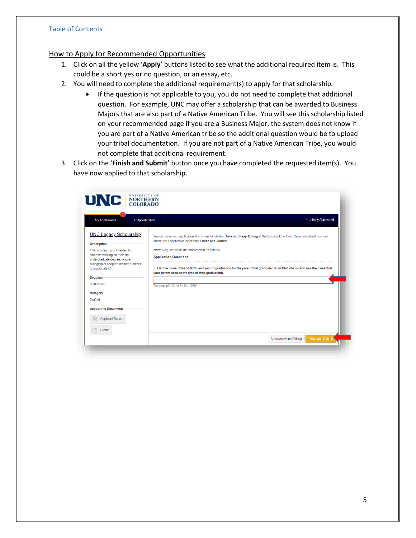## <span id="page-5-0"></span>How to Apply for Recommended Opportunities

- 1. Click on all the yellow '**Apply**' buttons listed to see what the additional required item is. This could be a short yes or no question, or an essay, etc.
- 2. You will need to complete the additional requirement(s) to apply for that scholarship.
	- If the question is not applicable to you, you do not need to complete that additional question. For example, UNC may offer a scholarship that can be awarded to Business Majors that are also part of a Native American Tribe. You will see this scholarship listed on your recommended page if you are a Business Major, the system does not know if you are part of a Native American tribe so the additional question would be to upload your tribal documentation. If you are not part of a Native American Tribe, you would not complete that additional requirement.
- 3. Click on the '**Finish and Submit**' button once you have completed the requested item(s). You have now applied to that scholarship.

| • Opportunities<br><b>My Applications</b>                                                                                                   | ▼ Johnny Appleseed                                                                                                                                                                                                    |
|---------------------------------------------------------------------------------------------------------------------------------------------|-----------------------------------------------------------------------------------------------------------------------------------------------------------------------------------------------------------------------|
| <b>UNC Legacy Scholarship</b><br><b>Description</b>                                                                                         | You can save your application at any time by clicking Save and Keep Editing at the bottom of the form. Once completed, you can<br>submit your application by clicking Finish and Submit.                              |
| This scholarship is awarded to<br>students working on their first<br>undergraduate degree, whose<br>biological or adoptive mother or father | Note: Required fields are marked with an asterisk.<br><b>Application Questions</b>                                                                                                                                    |
| is a graduate of<br><b>Deadline</b><br>09/30/2022                                                                                           | $*$ List the name, Date of Birth, and year of graduation for the parent that graduated from UNC (Be sure to use the name that<br>your parent used at the time of their graduation).<br>For example "John Smith, 1979" |
|                                                                                                                                             |                                                                                                                                                                                                                       |
|                                                                                                                                             |                                                                                                                                                                                                                       |
|                                                                                                                                             |                                                                                                                                                                                                                       |
| Category<br><b>Drafted</b><br><b>Supporting Documents</b><br><b>Applicant Record</b><br>$\overline{N}$<br>區<br>Profile                      |                                                                                                                                                                                                                       |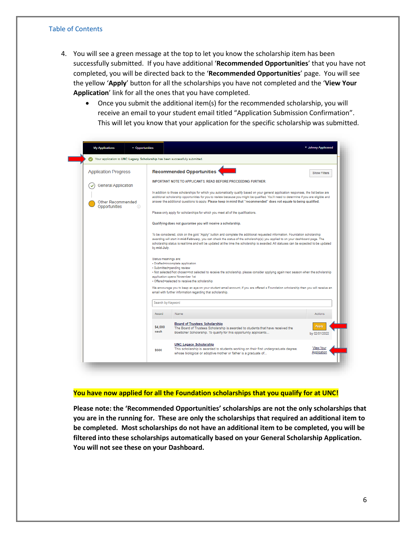- 4. You will see a green message at the top to let you know the scholarship item has been successfully submitted. If you have additional '**Recommended Opportunities**' that you have not completed, you will be directed back to the '**Recommended Opportunities**' page. You will see the yellow '**Apply**' button for all the scholarships you have not completed and the '**View Your Application**' link for all the ones that you have completed.
	- Once you submit the additional item(s) for the recommended scholarship, you will receive an email to your student email titled "Application Submission Confirmation". This will let you know that your application for the specific scholarship was submitted.



#### **You have now applied for all the Foundation scholarships that you qualify for at UNC!**

**Please note: the 'Recommended Opportunities' scholarships are not the only scholarships that you are in the running for. These are only the scholarships that required an additional item to be completed. Most scholarships do not have an additional item to be completed, you will be filtered into these scholarships automatically based on your General Scholarship Application. You will not see these on your Dashboard.**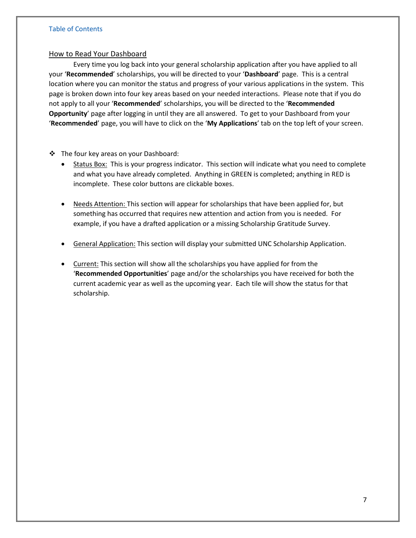## <span id="page-7-0"></span>How to Read Your Dashboard

Every time you log back into your general scholarship application after you have applied to all your '**Recommended**' scholarships, you will be directed to your '**Dashboard**' page. This is a central location where you can monitor the status and progress of your various applications in the system. This page is broken down into four key areas based on your needed interactions. Please note that if you do not apply to all your '**Recommended**' scholarships, you will be directed to the '**Recommended Opportunity**' page after logging in until they are all answered. To get to your Dashboard from your '**Recommended**' page, you will have to click on the '**My Applications**' tab on the top left of your screen.

- ❖ The four key areas on your Dashboard:
	- Status Box: This is your progress indicator. This section will indicate what you need to complete and what you have already completed. Anything in GREEN is completed; anything in RED is incomplete. These color buttons are clickable boxes.
	- Needs Attention: This section will appear for scholarships that have been applied for, but something has occurred that requires new attention and action from you is needed. For example, if you have a drafted application or a missing Scholarship Gratitude Survey.
	- General Application: This section will display your submitted UNC Scholarship Application.
	- Current: This section will show all the scholarships you have applied for from the '**Recommended Opportunities**' page and/or the scholarships you have received for both the current academic year as well as the upcoming year. Each tile will show the status for that scholarship.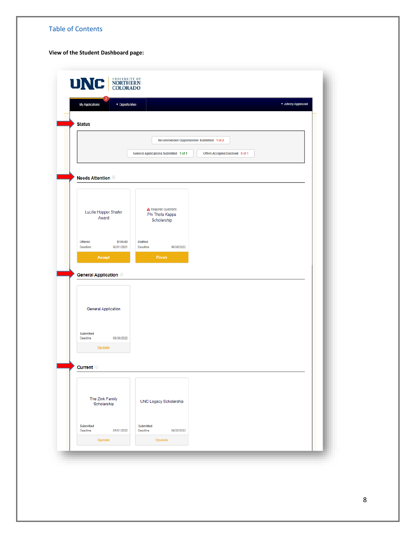#### **View of the Student Dashboard page:**

| <b>Status</b><br>Recommended Opportunities Submitted 1 of 2<br>General Applications Submitted 1 of 1<br>Offers Accepted/Declined 0 of 1<br><b>Needs Attention</b> <sup>®</sup><br><b>A</b> Required Questions<br>Lucille Hopper Shafer<br>Phi Theta Kappa<br>Award<br>Scholarship<br>Offered<br>\$100.00<br><b>Drafted</b><br>Deadline<br>02/01/2021<br>Deadline<br>09/30/2022<br><b>Finish</b><br>Accept<br><b>General Application</b> ©<br><b>General Application</b><br><b>Submitted</b><br>09/30/2022<br>Deadline<br>Update |  |
|---------------------------------------------------------------------------------------------------------------------------------------------------------------------------------------------------------------------------------------------------------------------------------------------------------------------------------------------------------------------------------------------------------------------------------------------------------------------------------------------------------------------------------|--|
|                                                                                                                                                                                                                                                                                                                                                                                                                                                                                                                                 |  |
|                                                                                                                                                                                                                                                                                                                                                                                                                                                                                                                                 |  |
|                                                                                                                                                                                                                                                                                                                                                                                                                                                                                                                                 |  |
|                                                                                                                                                                                                                                                                                                                                                                                                                                                                                                                                 |  |
|                                                                                                                                                                                                                                                                                                                                                                                                                                                                                                                                 |  |
|                                                                                                                                                                                                                                                                                                                                                                                                                                                                                                                                 |  |
|                                                                                                                                                                                                                                                                                                                                                                                                                                                                                                                                 |  |
|                                                                                                                                                                                                                                                                                                                                                                                                                                                                                                                                 |  |
|                                                                                                                                                                                                                                                                                                                                                                                                                                                                                                                                 |  |
|                                                                                                                                                                                                                                                                                                                                                                                                                                                                                                                                 |  |
|                                                                                                                                                                                                                                                                                                                                                                                                                                                                                                                                 |  |
|                                                                                                                                                                                                                                                                                                                                                                                                                                                                                                                                 |  |
|                                                                                                                                                                                                                                                                                                                                                                                                                                                                                                                                 |  |
|                                                                                                                                                                                                                                                                                                                                                                                                                                                                                                                                 |  |
|                                                                                                                                                                                                                                                                                                                                                                                                                                                                                                                                 |  |
|                                                                                                                                                                                                                                                                                                                                                                                                                                                                                                                                 |  |
|                                                                                                                                                                                                                                                                                                                                                                                                                                                                                                                                 |  |
|                                                                                                                                                                                                                                                                                                                                                                                                                                                                                                                                 |  |
|                                                                                                                                                                                                                                                                                                                                                                                                                                                                                                                                 |  |
|                                                                                                                                                                                                                                                                                                                                                                                                                                                                                                                                 |  |
| <b>Current</b> ©                                                                                                                                                                                                                                                                                                                                                                                                                                                                                                                |  |
|                                                                                                                                                                                                                                                                                                                                                                                                                                                                                                                                 |  |
|                                                                                                                                                                                                                                                                                                                                                                                                                                                                                                                                 |  |
| The Zink Family<br><b>UNC Legacy Scholarship</b><br>Scholarship                                                                                                                                                                                                                                                                                                                                                                                                                                                                 |  |
|                                                                                                                                                                                                                                                                                                                                                                                                                                                                                                                                 |  |
| <b>Submitted</b><br>Submitted<br>05/01/2022<br>09/30/2022<br>Deadline<br>Deadline                                                                                                                                                                                                                                                                                                                                                                                                                                               |  |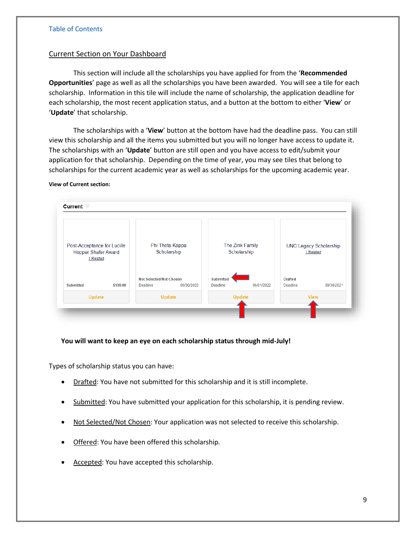## <span id="page-9-0"></span>Current Section on Your Dashboard

This section will include all the scholarships you have applied for from the '**Recommended Opportunities**' page as well as all the scholarships you have been awarded. You will see a tile for each scholarship. Information in this tile will include the name of scholarship, the application deadline for each scholarship, the most recent application status, and a button at the bottom to either '**View**' or '**Update**' that scholarship.

The scholarships with a '**View**' button at the bottom have had the deadline pass. You can still view this scholarship and all the items you submitted but you will no longer have access to update it. The scholarships with an '**Update**' button are still open and you have access to edit/submit your application for that scholarship. Depending on the time of year, you may see tiles that belong to scholarships for the current academic year as well as scholarships for the upcoming academic year.

#### **View of Current section:**



## **You will want to keep an eye on each scholarship status through mid-July!**

<span id="page-9-1"></span>Types of scholarship status you can have:

- Drafted: You have not submitted for this scholarship and it is still incomplete.
- Submitted: You have submitted your application for this scholarship, it is pending review.
- Not Selected/Not Chosen: Your application was not selected to receive this scholarship.
- Offered: You have been offered this scholarship.
- Accepted: You have accepted this scholarship.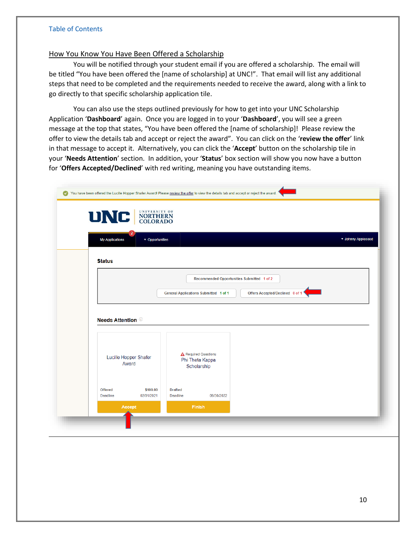## <span id="page-10-0"></span>How You Know You Have Been Offered a Scholarship

You will be notified through your student email if you are offered a scholarship. The email will be titled "You have been offered the [name of scholarship] at UNC!". That email will list any additional steps that need to be completed and the requirements needed to receive the award, along with a link to go directly to that specific scholarship application tile.

You can also use the steps outlined previously for how to get into your UNC Scholarship Application '**Dashboard**' again. Once you are logged in to your '**Dashboard**', you will see a green message at the top that states, "You have been offered the [name of scholarship]! Please review the offer to view the details tab and accept or reject the award". You can click on the '**review the offer**' link in that message to accept it. Alternatively, you can click the '**Accept**' button on the scholarship tile in your '**Needs Attention**' section. In addition, your '**Status**' box section will show you now have a button for '**Offers Accepted/Declined**' with red writing, meaning you have outstanding items.

| <b>My Applications</b>              | v Opportunities        |                                                                                 | v Johnny Appleseed |
|-------------------------------------|------------------------|---------------------------------------------------------------------------------|--------------------|
| <b>Status</b>                       |                        |                                                                                 |                    |
|                                     |                        | Recommended Opportunities Submitted 1 of 2                                      |                    |
|                                     |                        | Offers Accepted/Declined 0 of 1<br><b>General Applications Submitted 1 of 1</b> |                    |
|                                     |                        |                                                                                 |                    |
| <b>Needs Attention</b> <sup>1</sup> |                        |                                                                                 |                    |
|                                     |                        |                                                                                 |                    |
| Lucille Hopper Shafer               |                        | A Required Questions<br>Phi Theta Kappa                                         |                    |
| Award                               |                        | Scholarship                                                                     |                    |
| <b>Offered</b><br>Deadline          | \$100.00<br>02/01/2021 | <b>Drafted</b><br>Deadline<br>09/30/2022                                        |                    |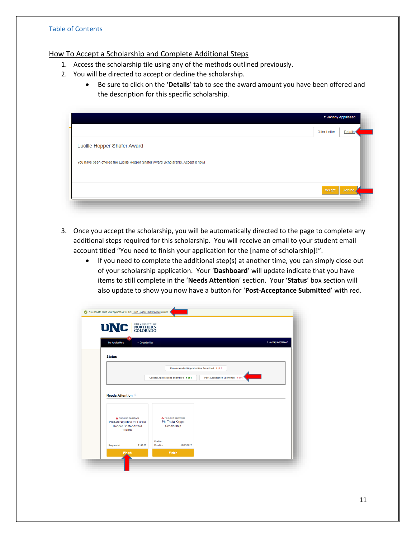## <span id="page-11-0"></span>How To Accept a Scholarship and Complete Additional Steps

- 1. Access the scholarship tile using any of the methods outlined previously.
- 2. You will be directed to accept or decline the scholarship.
	- Be sure to click on the '**Details**' tab to see the award amount you have been offered and the description for this specific scholarship.

|                                                                                   | <b>Offer Letter</b><br><b>Details</b> |
|-----------------------------------------------------------------------------------|---------------------------------------|
| Lucille Hopper Shafer Award                                                       |                                       |
| You have been offered the Lucille Hopper Shafer Award Scholarship. Accept it now! |                                       |
|                                                                                   |                                       |
|                                                                                   | Decline<br>Accept                     |

- 3. Once you accept the scholarship, you will be automatically directed to the page to complete any additional steps required for this scholarship. You will receive an email to your student email account titled "You need to finish your application for the [name of scholarship]!".
	- If you need to complete the additional step(s) at another time, you can simply close out of your scholarship application. Your '**Dashboard**' will update indicate that you have items to still complete in the '**Needs Attention**' section. Your '**Status**' box section will also update to show you now have a button for '**Post-Acceptance Submitted**' with red.

| <b>My Applications</b>                              | • Opportunities |                                                |                                            |                                  | v Johnny Appleseed |
|-----------------------------------------------------|-----------------|------------------------------------------------|--------------------------------------------|----------------------------------|--------------------|
| <b>Status</b>                                       |                 |                                                |                                            |                                  |                    |
|                                                     |                 |                                                | Recommended Opportunities Submitted 1 of 2 |                                  |                    |
|                                                     |                 | <b>General Applications Submitted 1 of 1</b>   |                                            | Post-Acceptance Submitted 0 of 1 |                    |
|                                                     |                 |                                                |                                            |                                  |                    |
|                                                     |                 |                                                |                                            |                                  |                    |
| <b>Needs Attention</b> ®                            |                 |                                                |                                            |                                  |                    |
|                                                     |                 |                                                |                                            |                                  |                    |
|                                                     |                 |                                                |                                            |                                  |                    |
| A Required Questions<br>Post-Acceptance for Lucille |                 | <b>A</b> Required Questions<br>Phi Theta Kappa |                                            |                                  |                    |
| <b>Hopper Shafer Award</b><br>1 Related             |                 | Scholarship                                    |                                            |                                  |                    |
|                                                     |                 |                                                |                                            |                                  |                    |
| Requested                                           | \$100.00        | <b>Drafted</b><br>Deadline                     | 09/30/2022                                 |                                  |                    |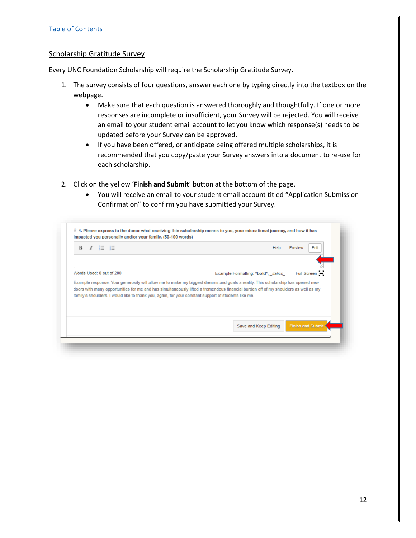#### <span id="page-12-0"></span>Scholarship Gratitude Survey

Every UNC Foundation Scholarship will require the Scholarship Gratitude Survey.

- 1. The survey consists of four questions, answer each one by typing directly into the textbox on the webpage.
	- Make sure that each question is answered thoroughly and thoughtfully. If one or more responses are incomplete or insufficient, your Survey will be rejected. You will receive an email to your student email account to let you know which response(s) needs to be updated before your Survey can be approved.
	- If you have been offered, or anticipate being offered multiple scholarships, it is recommended that you copy/paste your Survey answers into a document to re-use for each scholarship.
- 2. Click on the yellow '**Finish and Submit**' button at the bottom of the page.
	- You will receive an email to your student email account titled "Application Submission Confirmation" to confirm you have submitted your Survey.

| $\bf{B}$                 | Help<br>Edit<br>Preview                                                                                                                                                                                                                                              |
|--------------------------|----------------------------------------------------------------------------------------------------------------------------------------------------------------------------------------------------------------------------------------------------------------------|
| Words Used: 0 out of 200 | Example Formatting: *bold*, _italics_ Full Screen (=)                                                                                                                                                                                                                |
|                          |                                                                                                                                                                                                                                                                      |
|                          | Example response: Your generosity will allow me to make my biggest dreams and goals a reality. This scholarship has opened new<br>doors with many opportunities for me and has simultaneously lifted a tremendous financial burden off of my shoulders as well as my |
|                          | family's shoulders. I would like to thank you, again, for your constant support of students like me.                                                                                                                                                                 |
|                          |                                                                                                                                                                                                                                                                      |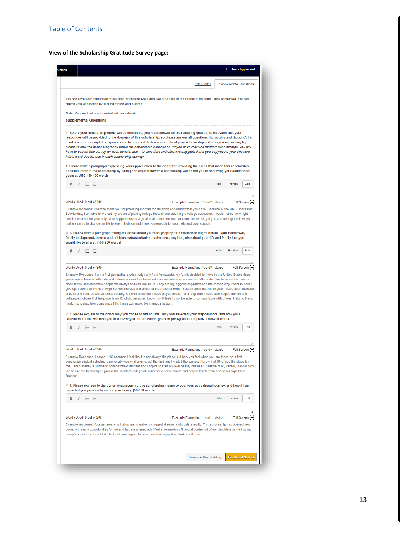**View of the Scholarship Gratitude Survey page:**

|                                            |                   |                          |                                                        |                                                                          |                                                                                                      | <b>Offer Letter</b>                                                                                                                                                                                                                                                                                                                                                                                                                                                                                                                                                                                                                                                                                                                                                                                                                                                                               |      | <b>Supplemental Questions</b> |               |
|--------------------------------------------|-------------------|--------------------------|--------------------------------------------------------|--------------------------------------------------------------------------|------------------------------------------------------------------------------------------------------|---------------------------------------------------------------------------------------------------------------------------------------------------------------------------------------------------------------------------------------------------------------------------------------------------------------------------------------------------------------------------------------------------------------------------------------------------------------------------------------------------------------------------------------------------------------------------------------------------------------------------------------------------------------------------------------------------------------------------------------------------------------------------------------------------------------------------------------------------------------------------------------------------|------|-------------------------------|---------------|
|                                            |                   |                          | submit your application by clicking Finish and Submit. |                                                                          |                                                                                                      | You can save your application at any time by clicking Save and Keep Editing at the bottom of the form. Once completed, you can                                                                                                                                                                                                                                                                                                                                                                                                                                                                                                                                                                                                                                                                                                                                                                    |      |                               |               |
|                                            |                   |                          | Note: Required fields are marked with an asterisk.     |                                                                          |                                                                                                      |                                                                                                                                                                                                                                                                                                                                                                                                                                                                                                                                                                                                                                                                                                                                                                                                                                                                                                   |      |                               |               |
| <b>Supplemental Questions</b>              |                   |                          |                                                        |                                                                          |                                                                                                      |                                                                                                                                                                                                                                                                                                                                                                                                                                                                                                                                                                                                                                                                                                                                                                                                                                                                                                   |      |                               |               |
|                                            |                   |                          | into a word doc for use in each scholarship survey*    |                                                                          |                                                                                                      | $*$ Before your scholarship funds will be disbursed, you must answer all the following questions. Be aware that your<br>responses will be provided to the donor(s) of this scholarship, so please answer all questions thoroughly and thoughtfully.<br>Insufficient or incomplete responses will be rejected. To learn more about your scholarship and who you are writing to,<br>please review the donor biography under the scholarship description. *If you have received multiple scholarships, you will<br>have to submit this survey for each scholarship - to save time and effort we suggested that you copy/paste your answers<br>1. Please write a paragraph expressing your appreciation to the donor for providing the funds that made this scholarship<br>possible (refer to the scholarship by name) and explain how this scholarship will assist you in achieving your educational |      |                               |               |
| goals at UNC. (50-100 words)               |                   |                          |                                                        |                                                                          |                                                                                                      |                                                                                                                                                                                                                                                                                                                                                                                                                                                                                                                                                                                                                                                                                                                                                                                                                                                                                                   |      |                               |               |
| B                                          | $I \equiv \Xi$    |                          |                                                        |                                                                          |                                                                                                      |                                                                                                                                                                                                                                                                                                                                                                                                                                                                                                                                                                                                                                                                                                                                                                                                                                                                                                   | Help | Preview                       | Edit          |
|                                            |                   |                          |                                                        |                                                                          |                                                                                                      |                                                                                                                                                                                                                                                                                                                                                                                                                                                                                                                                                                                                                                                                                                                                                                                                                                                                                                   |      |                               |               |
| Words Used: 0 out of 200                   |                   |                          |                                                        |                                                                          |                                                                                                      | Example Formatting: *bold*, _italics_                                                                                                                                                                                                                                                                                                                                                                                                                                                                                                                                                                                                                                                                                                                                                                                                                                                             |      |                               | Full Screen : |
|                                            |                   |                          |                                                        |                                                                          |                                                                                                      | Example response: I want to thank you for providing me with the amazing opportunity that you have. Because of the UNC Bear Pride<br>Scholarship, I am able to live out my dream of playing college football and obtaining a college education. I would not be here right<br>now if it was not for your help. Your support means a great deal to me because you don't know me, yet you are helping me in ways<br>that are going to change my life forever. I truly cannot thank you enough for your help and your support.<br>$*$ 2. Please write a paragraph telling the donor about yourself. (Appropriate responses might include, your hometown,                                                                                                                                                                                                                                               |      |                               |               |
| would like to share). (100-200 words)      |                   |                          |                                                        |                                                                          |                                                                                                      | family background, talents and hobbies, extracurricular involvement, anything else about your life and family that you                                                                                                                                                                                                                                                                                                                                                                                                                                                                                                                                                                                                                                                                                                                                                                            |      |                               |               |
| B<br>I                                     | 日                 | - 12                     |                                                        |                                                                          |                                                                                                      |                                                                                                                                                                                                                                                                                                                                                                                                                                                                                                                                                                                                                                                                                                                                                                                                                                                                                                   | Help | Preview                       | Edit          |
|                                            |                   |                          |                                                        |                                                                          |                                                                                                      |                                                                                                                                                                                                                                                                                                                                                                                                                                                                                                                                                                                                                                                                                                                                                                                                                                                                                                   |      |                               |               |
|                                            |                   | Words Used: 0 out of 300 |                                                        |                                                                          |                                                                                                      | Example Formatting: *bold*, _italics_<br>Example Response: I am a first-generation student originally from Venezuela. My family decided to move to the United States three<br>years ago to have a better life and to have access to a better educational future for me and my little sister. We have always been a<br>close family and somehow happiness always finds its way to us. They are my biggest inspiration and the reason why I want to never                                                                                                                                                                                                                                                                                                                                                                                                                                           |      |                               | Full Screen 1 |
|                                            |                   |                          |                                                        | made me realize how sometimes little things can make big changes happen. |                                                                                                      | give up. I attended Windsor High School and was a member of the National Honor Society since my Junior year. I have been involved<br>in track and field, as well as cross country. Outside of school, I have played soccer for a long time. I have also helped friends and<br>colleagues whose first language is not English, because I know how it feels to not be able to communicate with others. Helping them,                                                                                                                                                                                                                                                                                                                                                                                                                                                                                |      |                               |               |
|                                            |                   |                          |                                                        |                                                                          |                                                                                                      | * 3. Please explain to the donor why you chose to attend UNC; why you selected your major/minors, and how your<br>education at UNC will help you to achieve your future career goals or post-graduation plans. (100-200 words)                                                                                                                                                                                                                                                                                                                                                                                                                                                                                                                                                                                                                                                                    |      |                               |               |
| в                                          | $I \equiv \Xi$    |                          |                                                        |                                                                          |                                                                                                      |                                                                                                                                                                                                                                                                                                                                                                                                                                                                                                                                                                                                                                                                                                                                                                                                                                                                                                   | Help | Preview                       | Edit          |
|                                            |                   |                          |                                                        |                                                                          |                                                                                                      |                                                                                                                                                                                                                                                                                                                                                                                                                                                                                                                                                                                                                                                                                                                                                                                                                                                                                                   |      |                               |               |
|                                            |                   |                          |                                                        |                                                                          |                                                                                                      | Example Formatting: *bold*, _italics                                                                                                                                                                                                                                                                                                                                                                                                                                                                                                                                                                                                                                                                                                                                                                                                                                                              |      |                               | Full Screen 1 |
|                                            |                   |                          |                                                        |                                                                          |                                                                                                      | Example Response: I chose UNC because I feel like it is not always the place, but how you feel when you are there. As a first-<br>generation student selecting a university was challenging, but the first time I visited the campus I knew that UNC was the place for<br>me. I am currently a Business Administration student and I aspire to start my own beauty business. Outside of my career, I would also<br>like to use the knowledge I gain in the Monfort College of Business to serve others and help to teach them how to manage their                                                                                                                                                                                                                                                                                                                                                 |      |                               |               |
|                                            |                   |                          |                                                        | impacted you personally and/or your family. (50-100 words)               |                                                                                                      | $*$ 4. Please express to the donor what receiving this scholarship means to you, your educational journey, and how it has                                                                                                                                                                                                                                                                                                                                                                                                                                                                                                                                                                                                                                                                                                                                                                         |      |                               |               |
| Words Used: 0 out of 300<br>finances.<br>B | $I \equiv \equiv$ |                          |                                                        |                                                                          |                                                                                                      |                                                                                                                                                                                                                                                                                                                                                                                                                                                                                                                                                                                                                                                                                                                                                                                                                                                                                                   | Help | Preview                       | Edit          |
|                                            |                   |                          |                                                        |                                                                          |                                                                                                      |                                                                                                                                                                                                                                                                                                                                                                                                                                                                                                                                                                                                                                                                                                                                                                                                                                                                                                   |      |                               |               |
| Words Used: 0 out of 200                   |                   |                          |                                                        |                                                                          |                                                                                                      | Example Formatting: *bold*, _italics                                                                                                                                                                                                                                                                                                                                                                                                                                                                                                                                                                                                                                                                                                                                                                                                                                                              |      |                               | Full Screen : |
|                                            |                   |                          |                                                        |                                                                          | family's shoulders. I would like to thank you, again, for your constant support of students like me. | Example response: Your generosity will allow me to make my biggest dreams and goals a reality. This scholarship has opened new<br>doors with many opportunities for me and has simultaneously lifted a tremendous financial burden off of my shoulders as well as my                                                                                                                                                                                                                                                                                                                                                                                                                                                                                                                                                                                                                              |      |                               |               |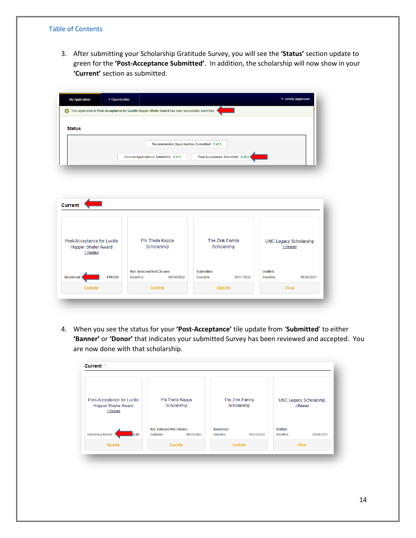3. After submitting your Scholarship Gratitude Survey, you will see the **'Status'** section update to green for the **'Post-Acceptance Submitted'**. In addition, the scholarship will now show in your **'Current'** section as submitted.

|               | Your application to Post-Acceptance for Lucille Hopper Shafer Award has been successfully submitted. |  |
|---------------|------------------------------------------------------------------------------------------------------|--|
| <b>Status</b> |                                                                                                      |  |
|               | Recommended Opportunities Submitted 1 of 1                                                           |  |
|               | Post-Acceptance Submitted 2 of 2<br><b>General Applications Submitted 1 of 1</b>                     |  |
|               |                                                                                                      |  |

| Post-Acceptance for Lucille<br><b>Hopper Shafer Award</b><br>1 Related | Phi Theta Kappa<br>Scholarship                                  | The Zink Family<br>Scholarship                    | <b>UNC Legacy Scholarship</b><br>1 Related |  |
|------------------------------------------------------------------------|-----------------------------------------------------------------|---------------------------------------------------|--------------------------------------------|--|
| <b>Submitted</b><br>\$100.00                                           | <b>Not Selected/Not Chosen</b><br><b>Deadline</b><br>09/30/2022 | <b>Submitted</b><br><b>Deadline</b><br>05/01/2022 | <b>Drafted</b><br>Deadline<br>09/30/2021   |  |
| Update                                                                 | Update                                                          | Update                                            | <b>View</b>                                |  |

4. When you see the status for your **'Post-Acceptance'** tile update from '**Submitted**' to either **'Banner'** or **'Donor'** that indicates your submitted Survey has been reviewed and accepted. You are now done with that scholarship.

| Post-Acceptance for Lucille<br><b>Hopper Shafer Award</b><br>1 Related | Phi Theta Kappa<br>Scholarship                                  | The Zink Family<br>Scholarship             | <b>UNC Legacy Scholarship</b><br>1 Related |
|------------------------------------------------------------------------|-----------------------------------------------------------------|--------------------------------------------|--------------------------------------------|
| <b>Generous Donor</b><br>0.00                                          | <b>Not Selected/Not Chosen</b><br>09/30/2022<br><b>Deadline</b> | <b>Submitted</b><br>05/01/2022<br>Deadline | <b>Drafted</b><br>Deadline<br>09/30/2021   |
| Update                                                                 | <b>Update</b>                                                   | Update                                     | <b>View</b>                                |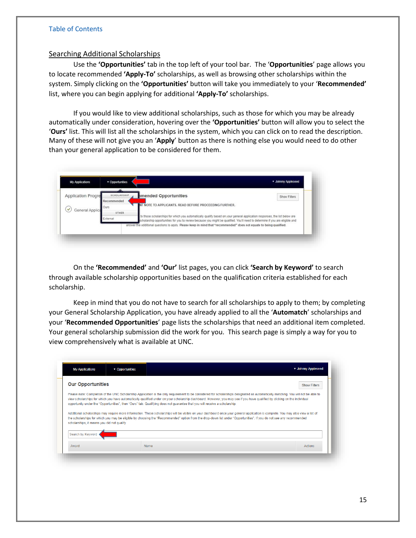## <span id="page-15-0"></span>Searching Additional Scholarships

Use the **'Opportunities'** tab in the top left of your tool bar. The '**Opportunities**' page allows you to locate recommended **'Apply-To'** scholarships, as well as browsing other scholarships within the system. Simply clicking on the **'Opportunities'** button will take you immediately to your '**Recommended'** list, where you can begin applying for additional **'Apply-To'** scholarships.

If you would like to view additional scholarships, such as those for which you may be already automatically under consideration, hovering over the **'Opportunities'** button will allow you to select the '**Ours'** list. This will list all the scholarships in the system, which you can click on to read the description. Many of these will not give you an '**Apply**' button as there is nothing else you would need to do other than your general application to be considered for them.



On the **'Recommended'** and **'Our'** list pages, you can click **'Search by Keyword'** to search through available scholarship opportunities based on the qualification criteria established for each scholarship.

Keep in mind that you do not have to search for all scholarships to apply to them; by completing your General Scholarship Application, you have already applied to all the '**Automatch**' scholarships and your '**Recommended Opportunities**' page lists the scholarships that need an additional item completed. Your general scholarship submission did the work for you. This search page is simply a way for you to view comprehensively what is available at UNC.

| <b>My Applications</b>                      | ▼ Opportunities |                                                                                                                                                                                                                                                                                                                                                                                                                                                                                                                                                                                                                                                                                                                                                                                                                                                             | ▼ Johnny Appleseed  |
|---------------------------------------------|-----------------|-------------------------------------------------------------------------------------------------------------------------------------------------------------------------------------------------------------------------------------------------------------------------------------------------------------------------------------------------------------------------------------------------------------------------------------------------------------------------------------------------------------------------------------------------------------------------------------------------------------------------------------------------------------------------------------------------------------------------------------------------------------------------------------------------------------------------------------------------------------|---------------------|
| <b>Our Opportunities</b>                    |                 |                                                                                                                                                                                                                                                                                                                                                                                                                                                                                                                                                                                                                                                                                                                                                                                                                                                             | <b>Show Filters</b> |
| scholarships, it means you did not qualify. |                 | Please note: Completion of the UNC Scholarship Application is the only requirement to be considered for scholarships designated as automatically matching. You will not be able to<br>view scholarships for which you have automatically qualified under on your scholarship dashboard. However, you may see if you have qualified by clicking on the individual<br>opportunity under the "Opportunities", then "Ours" tab, Qualifying does not quarantee that you will receive a scholarship.<br>Additional scholarships may require more information. These scholarships will be visible on your dashboard once your general application is complete. You may also view a list of<br>the scholarships for which you may be eligible by choosing the "Recommended" option from the drop-down list under "Opportunities". If you do not see any recommended |                     |
| Search by Keyword                           |                 |                                                                                                                                                                                                                                                                                                                                                                                                                                                                                                                                                                                                                                                                                                                                                                                                                                                             |                     |
| Award                                       |                 | Name                                                                                                                                                                                                                                                                                                                                                                                                                                                                                                                                                                                                                                                                                                                                                                                                                                                        | Actions             |